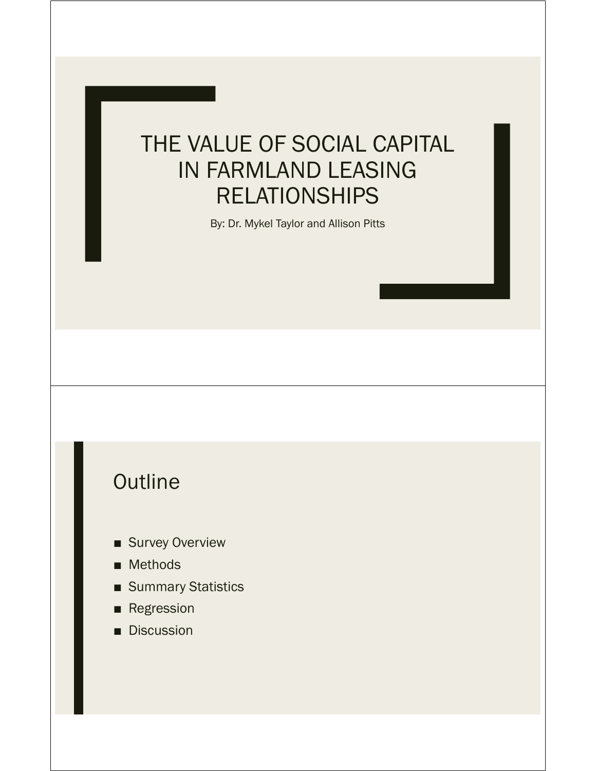## THE VALUE OF SOCIAL CAPITAL IN FARMLAND LEASING RELATIONSHIPS

By: Dr. Mykel Taylor and Allison Pitts

#### **Outline**

- Survey Overview
- Methods
- Summary Statistics
- Regression
- Discussion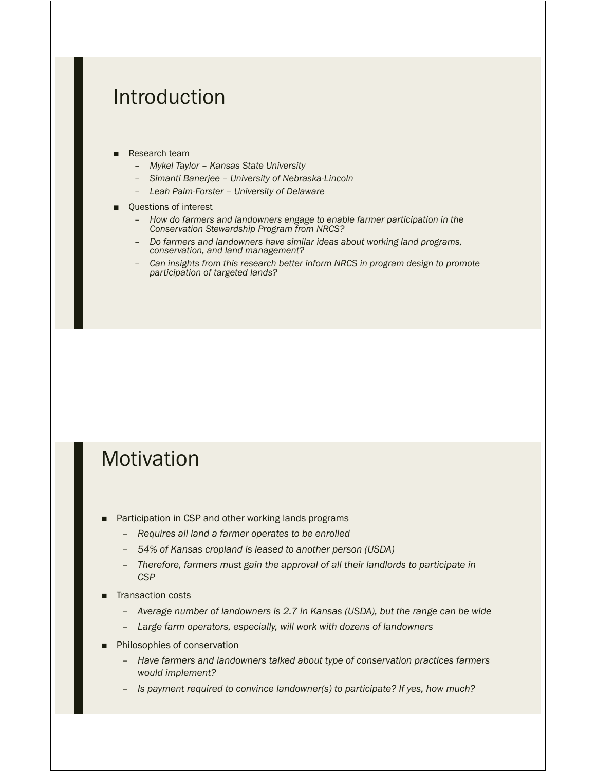#### Introduction

- **Research team** 
	- *Mykel Taylor Kansas State University*
	- *Simanti Banerjee University of Nebraska-Lincoln*
	- *Leah Palm-Forster University of Delaware*
- Questions of interest
	- *How do farmers and landowners engage to enable farmer participation in the Conservation Stewardship Program from NRCS?*
	- *Do farmers and landowners have similar ideas about working land programs, conservation, and land management?*
	- *Can insights from this research better inform NRCS in program design to promote participation of targeted lands?*

#### **Motivation**

- Participation in CSP and other working lands programs
	- *Requires all land a farmer operates to be enrolled*
	- *54% of Kansas cropland is leased to another person (USDA)*
	- *Therefore, farmers must gain the approval of all their landlords to participate in CSP*
- Transaction costs
	- *Average number of landowners is 2.7 in Kansas (USDA), but the range can be wide*
	- *Large farm operators, especially, will work with dozens of landowners*
- Philosophies of conservation
	- *Have farmers and landowners talked about type of conservation practices farmers would implement?*
	- *Is payment required to convince landowner(s) to participate? If yes, how much?*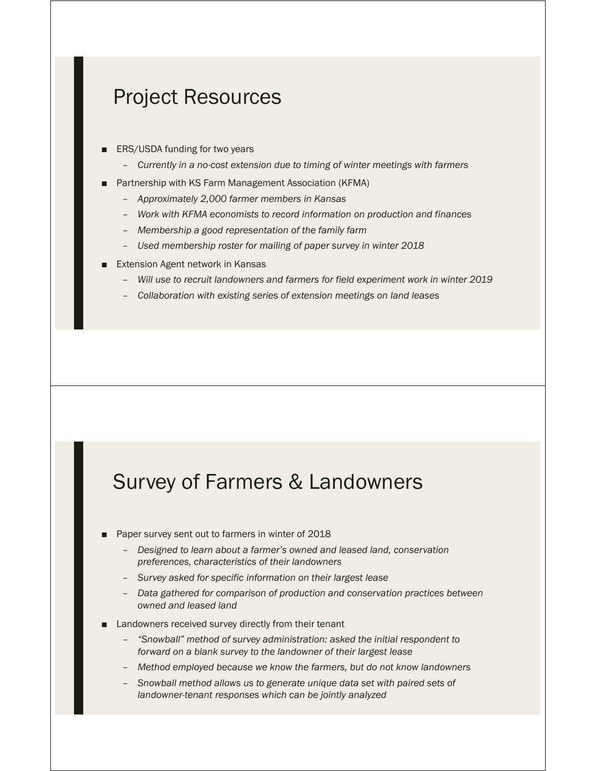#### Project Resources

- ERS/USDA funding for two years
	- *Currently in a no-cost extension due to timing of winter meetings with farmers*
- Partnership with KS Farm Management Association (KFMA)
	- *Approximately 2,000 farmer members in Kansas*
	- *Work with KFMA economists to record information on production and finances*
	- *Membership a good representation of the family farm*
	- *Used membership roster for mailing of paper survey in winter 2018*
- **Extension Agent network in Kansas** 
	- *Will use to recruit landowners and farmers for field experiment work in winter 2019*
	- *Collaboration with existing series of extension meetings on land leases*

#### Survey of Farmers & Landowners

- Paper survey sent out to farmers in winter of 2018
	- *Designed to learn about a farmer's owned and leased land, conservation preferences, characteristics of their landowners*
	- *Survey asked for specific information on their largest lease*
	- *Data gathered for comparison of production and conservation practices between owned and leased land*
- Landowners received survey directly from their tenant
	- *"Snowball" method of survey administration: asked the initial respondent to forward on a blank survey to the landowner of their largest lease*
	- *Method employed because we know the farmers, but do not know landowners*
	- *Snowball method allows us to generate unique data set with paired sets of landowner-tenant responses which can be jointly analyzed*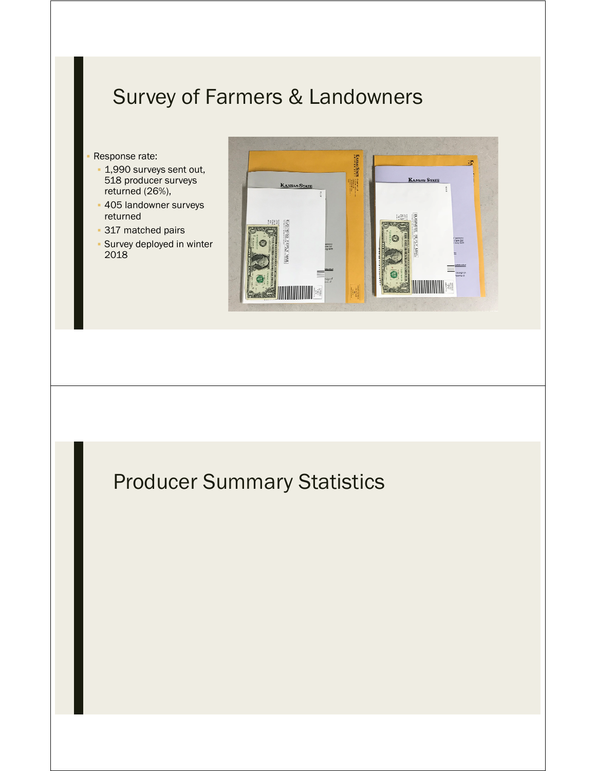#### Survey of Farmers & Landowners

- Response rate:
- 1,990 surveys sent out, 518 producer surveys returned (26%),
- 405 landowner surveys returned
- **317 matched pairs**
- Survey deployed in winter 2018



## Producer Summary Statistics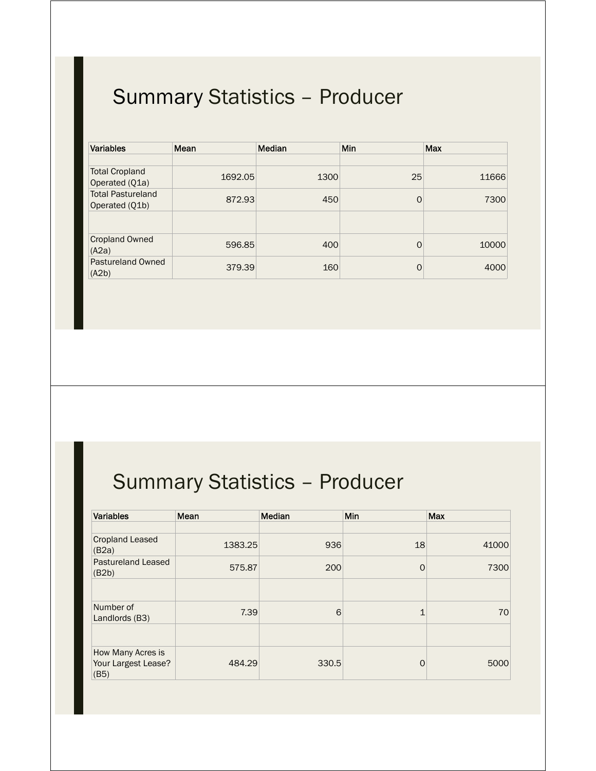| <b>Variables</b>                           | Mean    | <b>Median</b> | <b>Min</b> | Max   |
|--------------------------------------------|---------|---------------|------------|-------|
|                                            |         |               |            |       |
| <b>Total Cropland</b><br>Operated (Q1a)    | 1692.05 | 1300          | 25         | 11666 |
| <b>Total Pastureland</b><br>Operated (Q1b) | 872.93  | 450           | 0          | 7300  |
|                                            |         |               |            |       |
| <b>Cropland Owned</b><br>(A2a)             | 596.85  | 400           | $\Omega$   | 10000 |
| Pastureland Owned<br>(A2b)                 | 379.39  | 160           | $\Omega$   | 4000  |

## Summary Statistics – Producer

| <b>Variables</b>                                 | Mean    | Median | Min      | Max   |
|--------------------------------------------------|---------|--------|----------|-------|
|                                                  |         |        |          |       |
| <b>Cropland Leased</b><br>(B2a)                  | 1383.25 | 936    | 18       | 41000 |
| <b>Pastureland Leased</b><br>(B2b)               | 575.87  | 200    | $\Omega$ | 7300  |
|                                                  |         |        |          |       |
| Number of<br>Landlords (B3)                      | 7.39    | 6      | 1        | 70    |
|                                                  |         |        |          |       |
| How Many Acres is<br>Your Largest Lease?<br>(B5) | 484.29  | 330.5  | $\Omega$ | 5000  |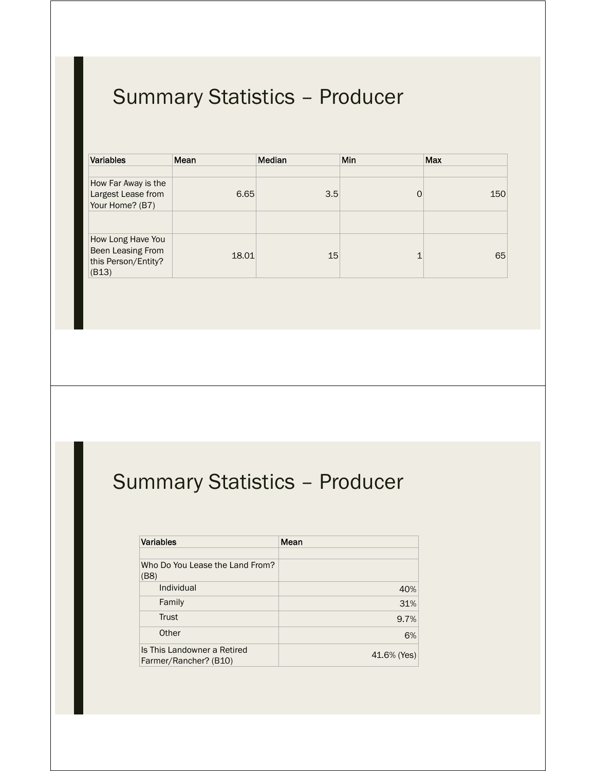| <b>Variables</b>                                                       | Mean  | <b>Median</b> | Min | <b>Max</b> |
|------------------------------------------------------------------------|-------|---------------|-----|------------|
| How Far Away is the<br>Largest Lease from<br>Your Home? (B7)           | 6.65  | 3.5           | 0   | 150        |
| How Long Have You<br>Been Leasing From<br>this Person/Entity?<br>(B13) | 18.01 | 15            | ◢   | 65         |

## Summary Statistics – Producer

| <b>Variables</b>                                     | Mean        |
|------------------------------------------------------|-------------|
|                                                      |             |
| Who Do You Lease the Land From?<br>(B8)              |             |
| Individual                                           | 40%         |
| Family                                               | 31%         |
| <b>Trust</b>                                         | 9.7%        |
| Other                                                | 6%          |
| Is This Landowner a Retired<br>Farmer/Rancher? (B10) | 41.6% (Yes) |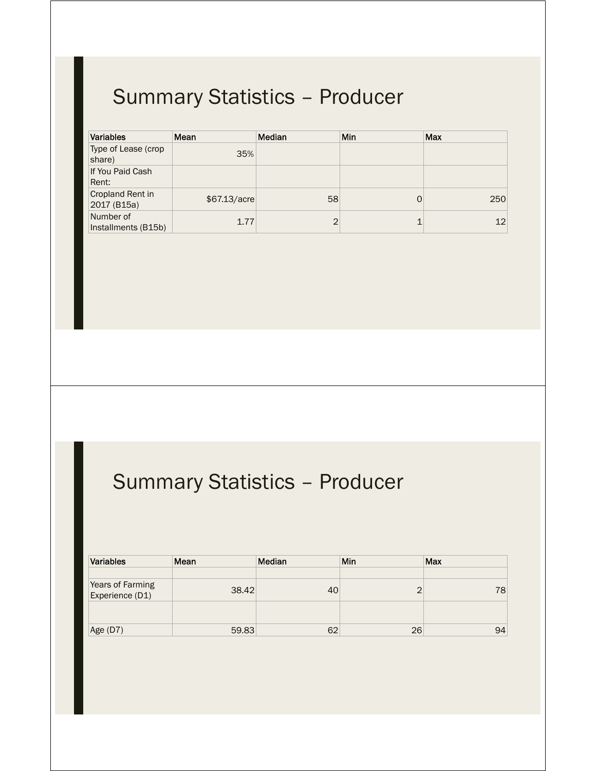| <b>Variables</b>                 | Mean          | <b>Median</b>  | Min | <b>Max</b> |
|----------------------------------|---------------|----------------|-----|------------|
| Type of Lease (crop<br>share)    | 35%           |                |     |            |
| If You Paid Cash<br>Rent:        |               |                |     |            |
| Cropland Rent in<br>2017 (B15a)  | \$67.13/acre] | 58             |     | 250        |
| Number of<br>Installments (B15b) | 1.77          | $\overline{2}$ |     | 12         |

# Summary Statistics – Producer

| <b>Variables</b>                    | Mean  | Median | Min        | Max |
|-------------------------------------|-------|--------|------------|-----|
|                                     |       |        |            |     |
| Years of Farming<br>Experience (D1) | 38.42 | 40     | $\sqrt{2}$ | 78  |
|                                     |       |        |            |     |
| Age (D7)                            | 59.83 | 62     | 26         | 94  |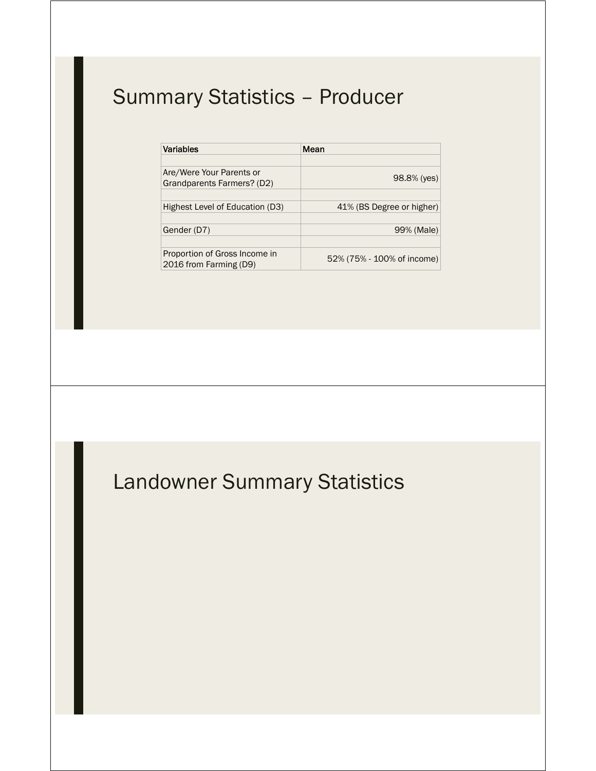| <b>Variables</b>                                        | Mean                       |
|---------------------------------------------------------|----------------------------|
| Are/Were Your Parents or<br>Grandparents Farmers? (D2)  | 98.8% (yes)                |
| Highest Level of Education (D3)                         | 41% (BS Degree or higher)  |
| Gender (D7)                                             | 99% (Male)                 |
| Proportion of Gross Income in<br>2016 from Farming (D9) | 52% (75% - 100% of income) |

## Landowner Summary Statistics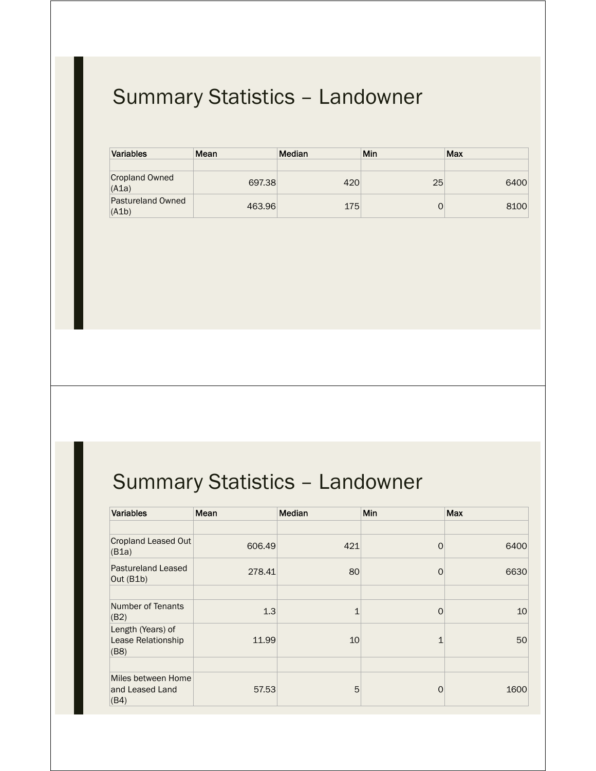# Summary Statistics – Landowner

| Variables                      | Mean   | <b>Median</b> | Min | Max  |
|--------------------------------|--------|---------------|-----|------|
|                                |        |               |     |      |
| <b>Cropland Owned</b><br>(A1a) | 697.38 | 420           | 25  | 6400 |
| Pastureland Owned<br>(A1b)     | 463.96 | 175           |     | 8100 |

## Summary Statistics – Landowner

| <b>Variables</b>                                | Mean   | Median | <b>Min</b>   | <b>Max</b> |
|-------------------------------------------------|--------|--------|--------------|------------|
|                                                 |        |        |              |            |
| Cropland Leased Out<br>(B1a)                    | 606.49 | 421    | 0            | 6400       |
| <b>Pastureland Leased</b><br>Out $(B1b)$        | 278.41 | 80     | $\Omega$     | 6630       |
|                                                 |        |        |              |            |
| Number of Tenants<br>(B2)                       | 1.3    | 1      | 0            | 10         |
| Length (Years) of<br>Lease Relationship<br>(B8) | 11.99  | 10     | $\mathbf{1}$ | 50         |
|                                                 |        |        |              |            |
| Miles between Home<br>and Leased Land<br>(B4)   | 57.53  | 5      | 0            | 1600       |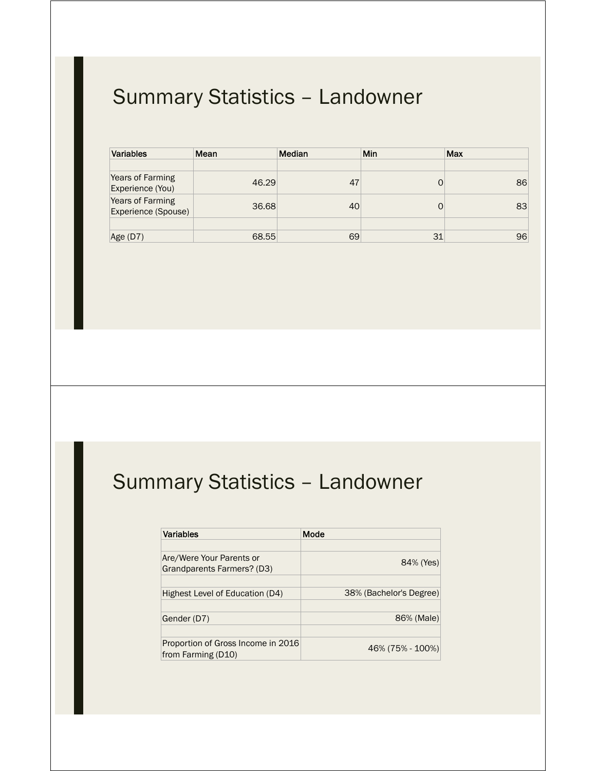# Summary Statistics – Landowner

| <b>Variables</b>                        | Mean  | Median | Min | Max |
|-----------------------------------------|-------|--------|-----|-----|
|                                         |       |        |     |     |
| Years of Farming<br>Experience (You)    | 46.29 | 47     |     | 86  |
| Years of Farming<br>Experience (Spouse) | 36.68 | 40     |     | 83  |
|                                         |       |        |     |     |
| Age (D7)                                | 68.55 | 69     | 31  | 96  |

#### Summary Statistics – Landowner

| Variables                                                | Mode                    |
|----------------------------------------------------------|-------------------------|
|                                                          |                         |
| Are/Were Your Parents or<br>Grandparents Farmers? (D3)   | 84% (Yes)               |
|                                                          |                         |
| Highest Level of Education (D4)                          | 38% (Bachelor's Degree) |
|                                                          |                         |
| Gender (D7)                                              | 86% (Male)              |
|                                                          |                         |
| Proportion of Gross Income in 2016<br>from Farming (D10) | 46% (75% - 100%)        |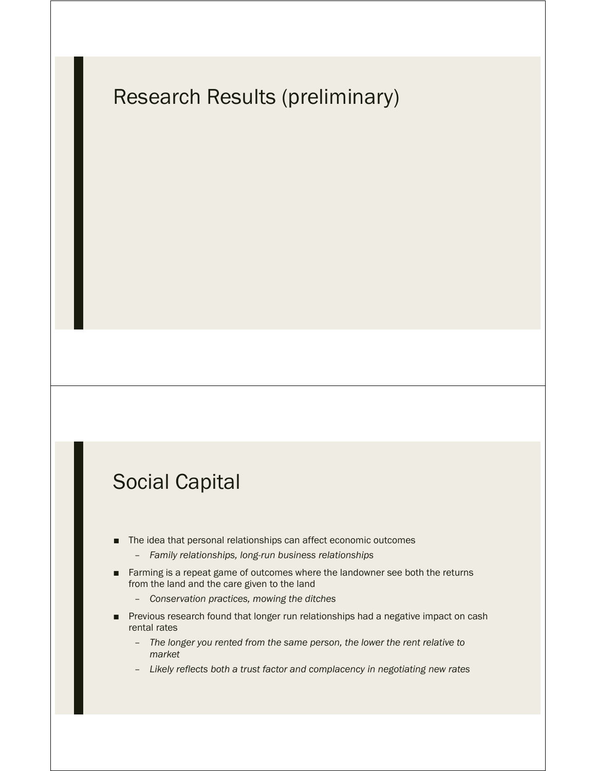#### Research Results (preliminary)

#### Social Capital

- The idea that personal relationships can affect economic outcomes
	- *Family relationships, long-run business relationships*
- Farming is a repeat game of outcomes where the landowner see both the returns from the land and the care given to the land
	- *Conservation practices, mowing the ditches*
- Previous research found that longer run relationships had a negative impact on cash rental rates
	- *The longer you rented from the same person, the lower the rent relative to market*
	- *Likely reflects both a trust factor and complacency in negotiating new rates*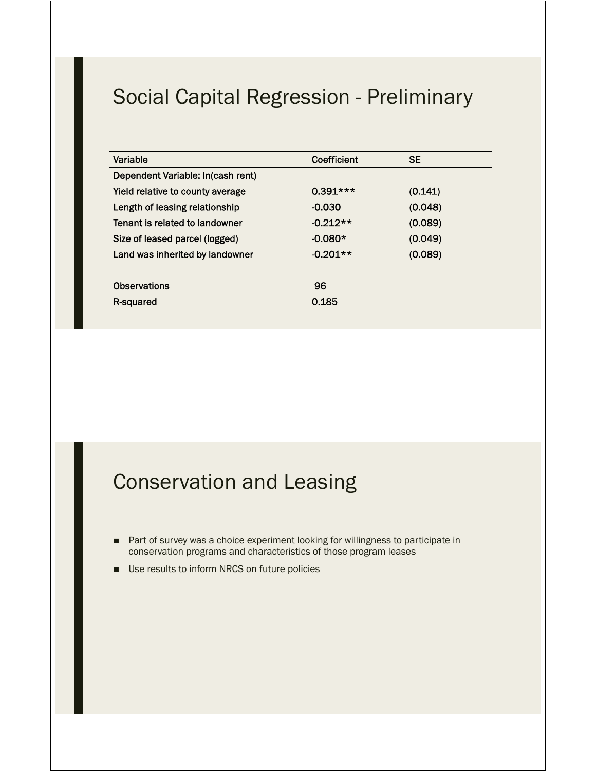#### Social Capital Regression - Preliminary

| Variable                          | Coefficient | <b>SE</b> |  |
|-----------------------------------|-------------|-----------|--|
| Dependent Variable: In(cash rent) |             |           |  |
| Yield relative to county average  | $0.391***$  | (0.141)   |  |
| Length of leasing relationship    | $-0.030$    | (0.048)   |  |
| Tenant is related to landowner    | $-0.212**$  | (0.089)   |  |
| Size of leased parcel (logged)    | $-0.080*$   | (0.049)   |  |
| Land was inherited by landowner   | $-0.201**$  | (0.089)   |  |
|                                   |             |           |  |
| <b>Observations</b>               | 96          |           |  |
| R-squared                         | 0.185       |           |  |
|                                   |             |           |  |

#### Conservation and Leasing

- Part of survey was a choice experiment looking for willingness to participate in conservation programs and characteristics of those program leases
- Use results to inform NRCS on future policies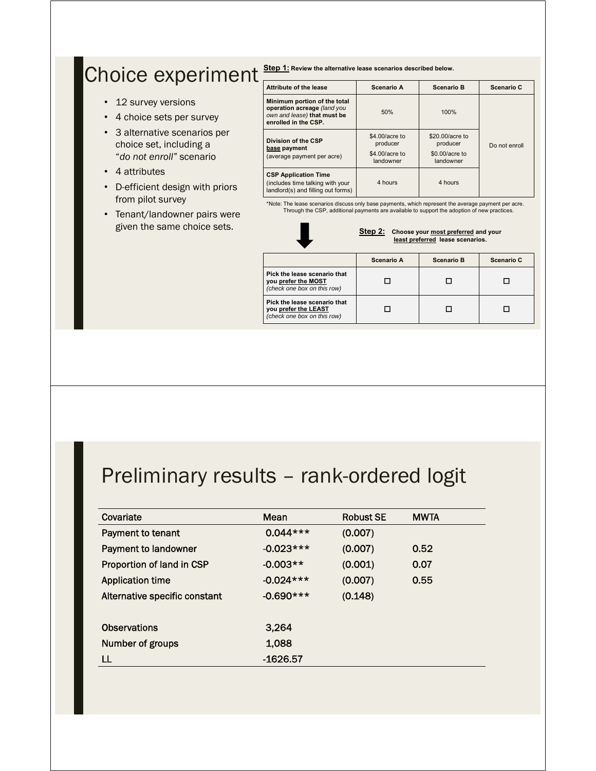#### Choice experiment **Step 1:** Review the alternative lease scenarios described below.

- 12 survey versions
- 4 choice sets per survey
- 3 alternative scenarios per choice set, including a "*do not enroll"* scenario
- 4 attributes
- D-efficient design with priors from pilot survey
- Tenant/landowner pairs were given the same choice sets.

| Attribute of the lease                                                                                             | Scenario A                                                | <b>Scenario B</b>                                          | Scenario C    |
|--------------------------------------------------------------------------------------------------------------------|-----------------------------------------------------------|------------------------------------------------------------|---------------|
| Minimum portion of the total<br>operation acreage (land you<br>own and lease) that must be<br>enrolled in the CSP. | 50%                                                       | 100%                                                       |               |
| Division of the CSP<br>base payment<br>(average payment per acre)                                                  | \$4,00/acre to<br>producer<br>\$4,00/acre to<br>landowner | \$20,00/acre to<br>producer<br>\$0.00/acre to<br>landowner | Do not enroll |
| <b>CSP Application Time</b><br>(includes time talking with your<br>landlord(s) and filling out forms)              | 4 hours                                                   | 4 hours                                                    |               |

\*Note: The lease scenarios discuss only base payments, which represent the average payment per acre. Through the CSP, additional payments are available to support the adoption of new practices.



**Step 2: Choose your most preferred and your least preferred lease scenarios.**

|                                                                                     | Scenario A | <b>Scenario B</b> | Scenario C |
|-------------------------------------------------------------------------------------|------------|-------------------|------------|
| Pick the lease scenario that<br>you prefer the MOST<br>(check one box on this row)  |            |                   |            |
| Pick the lease scenario that<br>you prefer the LEAST<br>(check one box on this row) |            |                   |            |

#### Preliminary results – rank-ordered logit

| Covariate                     | Mean        | <b>Robust SE</b> | <b>MWTA</b> |
|-------------------------------|-------------|------------------|-------------|
| Payment to tenant             | $0.044***$  | (0.007)          |             |
| Payment to landowner          | $-0.023***$ | (0.007)          | 0.52        |
| Proportion of land in CSP     | $-0.003**$  | (0.001)          | 0.07        |
| <b>Application time</b>       | $-0.024***$ | (0.007)          | 0.55        |
| Alternative specific constant | $-0.690***$ | (0.148)          |             |
|                               |             |                  |             |
| <b>Observations</b>           | 3,264       |                  |             |
| Number of groups              | 1,088       |                  |             |
|                               | -1626.57    |                  |             |